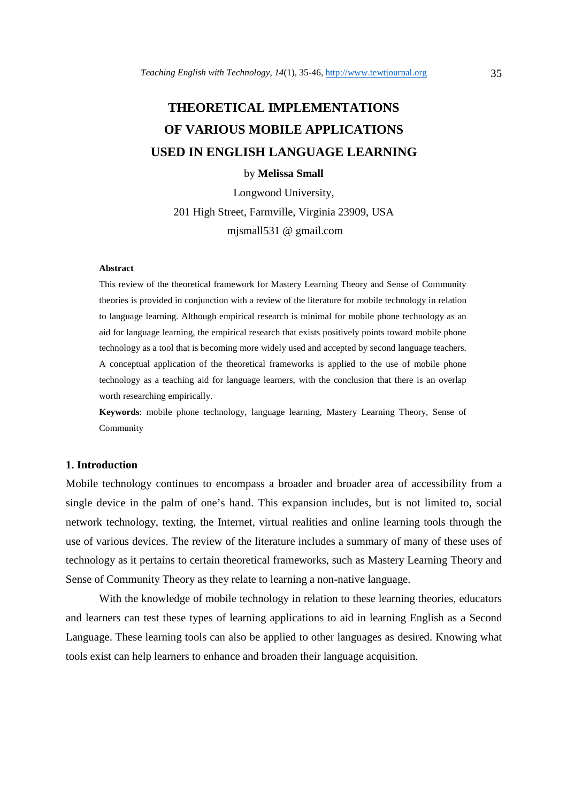# **THEORETICAL IMPLEMENTATIONS OF VARIOUS MOBILE APPLICATIONS USED IN ENGLISH LANGUAGE LEARNING**

# by **Melissa Small**

Longwood University,

201 High Street, Farmville, Virginia 23909, USA mjsmall531 @ gmail.com

#### **Abstract**

This review of the theoretical framework for Mastery Learning Theory and Sense of Community theories is provided in conjunction with a review of the literature for mobile technology in relation to language learning. Although empirical research is minimal for mobile phone technology as an aid for language learning, the empirical research that exists positively points toward mobile phone technology as a tool that is becoming more widely used and accepted by second language teachers. A conceptual application of the theoretical frameworks is applied to the use of mobile phone technology as a teaching aid for language learners, with the conclusion that there is an overlap worth researching empirically.

**Keywords**: mobile phone technology, language learning, Mastery Learning Theory, Sense of Community

## **1. Introduction**

Mobile technology continues to encompass a broader and broader area of accessibility from a single device in the palm of one's hand. This expansion includes, but is not limited to, social network technology, texting, the Internet, virtual realities and online learning tools through the use of various devices. The review of the literature includes a summary of many of these uses of technology as it pertains to certain theoretical frameworks, such as Mastery Learning Theory and Sense of Community Theory as they relate to learning a non-native language.

With the knowledge of mobile technology in relation to these learning theories, educators and learners can test these types of learning applications to aid in learning English as a Second Language. These learning tools can also be applied to other languages as desired. Knowing what tools exist can help learners to enhance and broaden their language acquisition.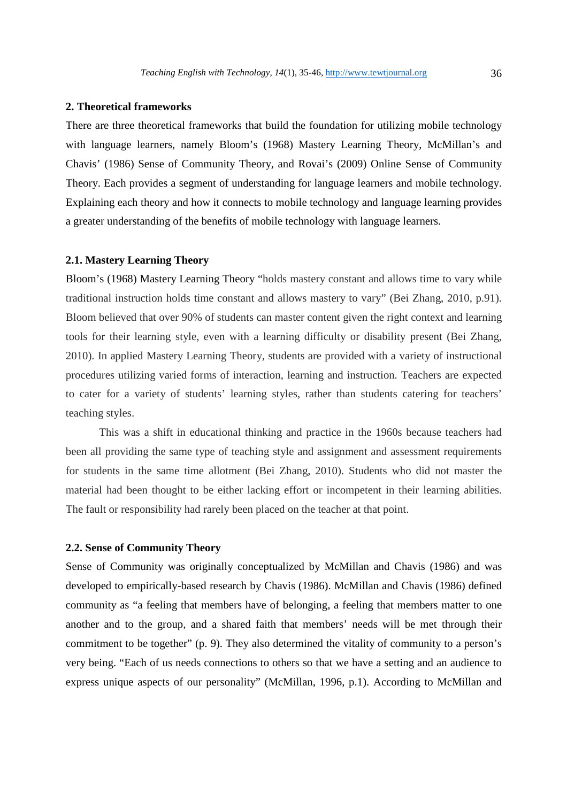## **2. Theoretical frameworks**

There are three theoretical frameworks that build the foundation for utilizing mobile technology with language learners, namely Bloom's (1968) Mastery Learning Theory, McMillan's and Chavis' (1986) Sense of Community Theory, and Rovai's (2009) Online Sense of Community Theory. Each provides a segment of understanding for language learners and mobile technology. Explaining each theory and how it connects to mobile technology and language learning provides a greater understanding of the benefits of mobile technology with language learners.

### **2.1. Mastery Learning Theory**

Bloom's (1968) Mastery Learning Theory "holds mastery constant and allows time to vary while traditional instruction holds time constant and allows mastery to vary" (Bei Zhang, 2010, p.91). Bloom believed that over 90% of students can master content given the right context and learning tools for their learning style, even with a learning difficulty or disability present (Bei Zhang, 2010). In applied Mastery Learning Theory, students are provided with a variety of instructional procedures utilizing varied forms of interaction, learning and instruction. Teachers are expected to cater for a variety of students' learning styles, rather than students catering for teachers' teaching styles.

 This was a shift in educational thinking and practice in the 1960s because teachers had been all providing the same type of teaching style and assignment and assessment requirements for students in the same time allotment (Bei Zhang, 2010). Students who did not master the material had been thought to be either lacking effort or incompetent in their learning abilities. The fault or responsibility had rarely been placed on the teacher at that point.

## **2.2. Sense of Community Theory**

Sense of Community was originally conceptualized by McMillan and Chavis (1986) and was developed to empirically-based research by Chavis (1986). McMillan and Chavis (1986) defined community as "a feeling that members have of belonging, a feeling that members matter to one another and to the group, and a shared faith that members' needs will be met through their commitment to be together" (p. 9). They also determined the vitality of community to a person's very being. "Each of us needs connections to others so that we have a setting and an audience to express unique aspects of our personality" (McMillan, 1996, p.1). According to McMillan and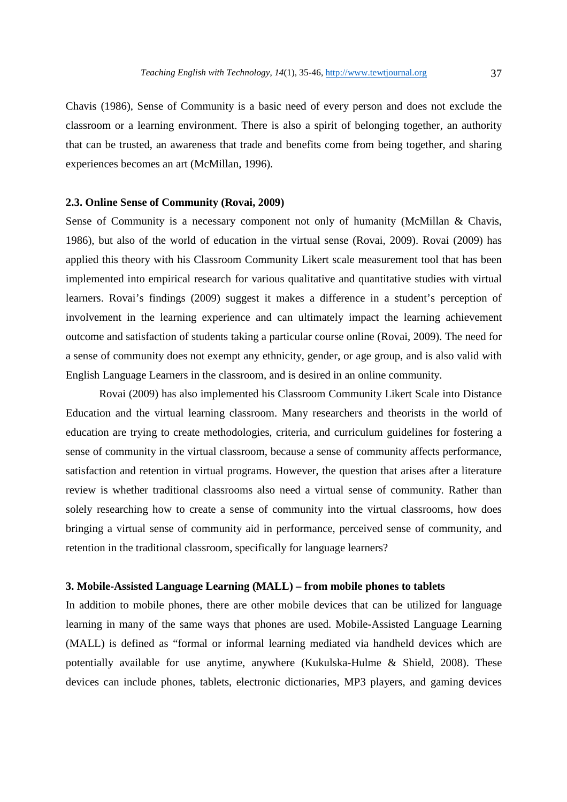Chavis (1986), Sense of Community is a basic need of every person and does not exclude the classroom or a learning environment. There is also a spirit of belonging together, an authority that can be trusted, an awareness that trade and benefits come from being together, and sharing experiences becomes an art (McMillan, 1996).

# **2.3. Online Sense of Community (Rovai, 2009)**

Sense of Community is a necessary component not only of humanity (McMillan & Chavis, 1986), but also of the world of education in the virtual sense (Rovai, 2009). Rovai (2009) has applied this theory with his Classroom Community Likert scale measurement tool that has been implemented into empirical research for various qualitative and quantitative studies with virtual learners. Rovai's findings (2009) suggest it makes a difference in a student's perception of involvement in the learning experience and can ultimately impact the learning achievement outcome and satisfaction of students taking a particular course online (Rovai, 2009). The need for a sense of community does not exempt any ethnicity, gender, or age group, and is also valid with English Language Learners in the classroom, and is desired in an online community.

Rovai (2009) has also implemented his Classroom Community Likert Scale into Distance Education and the virtual learning classroom. Many researchers and theorists in the world of education are trying to create methodologies, criteria, and curriculum guidelines for fostering a sense of community in the virtual classroom, because a sense of community affects performance, satisfaction and retention in virtual programs. However, the question that arises after a literature review is whether traditional classrooms also need a virtual sense of community. Rather than solely researching how to create a sense of community into the virtual classrooms, how does bringing a virtual sense of community aid in performance, perceived sense of community, and retention in the traditional classroom, specifically for language learners?

## **3. Mobile-Assisted Language Learning (MALL) – from mobile phones to tablets**

In addition to mobile phones, there are other mobile devices that can be utilized for language learning in many of the same ways that phones are used. Mobile-Assisted Language Learning (MALL) is defined as "formal or informal learning mediated via handheld devices which are potentially available for use anytime, anywhere (Kukulska-Hulme & Shield, 2008). These devices can include phones, tablets, electronic dictionaries, MP3 players, and gaming devices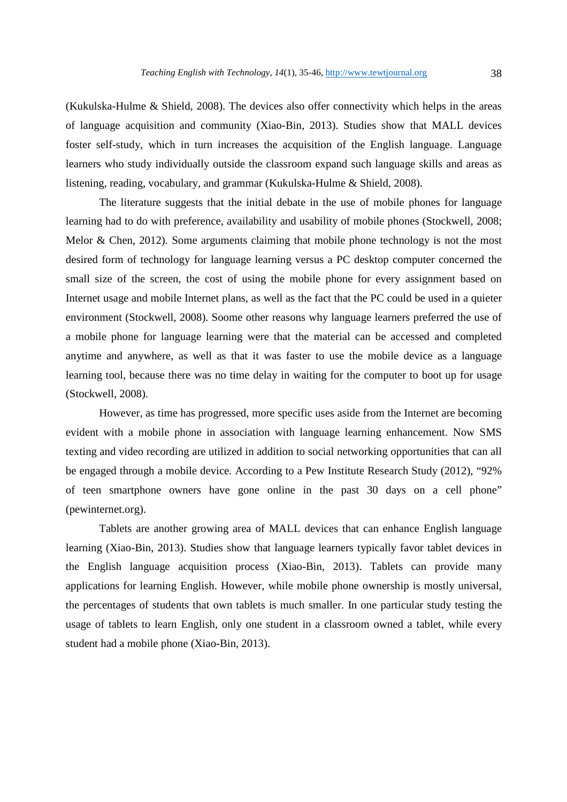(Kukulska-Hulme & Shield, 2008). The devices also offer connectivity which helps in the areas of language acquisition and community (Xiao-Bin, 2013). Studies show that MALL devices foster self-study, which in turn increases the acquisition of the English language. Language learners who study individually outside the classroom expand such language skills and areas as listening, reading, vocabulary, and grammar (Kukulska-Hulme & Shield, 2008).

 The literature suggests that the initial debate in the use of mobile phones for language learning had to do with preference, availability and usability of mobile phones (Stockwell, 2008; Melor & Chen, 2012). Some arguments claiming that mobile phone technology is not the most desired form of technology for language learning versus a PC desktop computer concerned the small size of the screen, the cost of using the mobile phone for every assignment based on Internet usage and mobile Internet plans, as well as the fact that the PC could be used in a quieter environment (Stockwell, 2008). Soome other reasons why language learners preferred the use of a mobile phone for language learning were that the material can be accessed and completed anytime and anywhere, as well as that it was faster to use the mobile device as a language learning tool, because there was no time delay in waiting for the computer to boot up for usage (Stockwell, 2008).

However, as time has progressed, more specific uses aside from the Internet are becoming evident with a mobile phone in association with language learning enhancement. Now SMS texting and video recording are utilized in addition to social networking opportunities that can all be engaged through a mobile device. According to a Pew Institute Research Study (2012), "92% of teen smartphone owners have gone online in the past 30 days on a cell phone" (pewinternet.org).

Tablets are another growing area of MALL devices that can enhance English language learning (Xiao-Bin, 2013). Studies show that language learners typically favor tablet devices in the English language acquisition process (Xiao-Bin, 2013). Tablets can provide many applications for learning English. However, while mobile phone ownership is mostly universal, the percentages of students that own tablets is much smaller. In one particular study testing the usage of tablets to learn English, only one student in a classroom owned a tablet, while every student had a mobile phone (Xiao-Bin, 2013).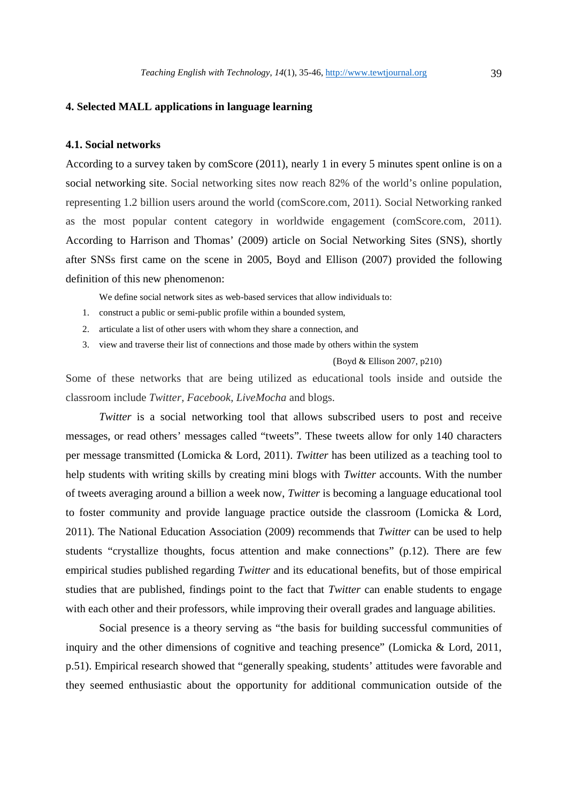#### **4. Selected MALL applications in language learning**

#### **4.1. Social networks**

According to a survey taken by comScore (2011), nearly 1 in every 5 minutes spent online is on a social networking site. Social networking sites now reach 82% of the world's online population, representing 1.2 billion users around the world (comScore.com, 2011). Social Networking ranked as the most popular content category in worldwide engagement (comScore.com, 2011). According to Harrison and Thomas' (2009) article on Social Networking Sites (SNS), shortly after SNSs first came on the scene in 2005, Boyd and Ellison (2007) provided the following definition of this new phenomenon:

We define social network sites as web-based services that allow individuals to:

- 1. construct a public or semi-public profile within a bounded system,
- 2. articulate a list of other users with whom they share a connection, and
- 3. view and traverse their list of connections and those made by others within the system

(Boyd & Ellison 2007, p210)

Some of these networks that are being utilized as educational tools inside and outside the classroom include *Twitter, Facebook, LiveMocha* and blogs.

*Twitter* is a social networking tool that allows subscribed users to post and receive messages, or read others' messages called "tweets". These tweets allow for only 140 characters per message transmitted (Lomicka & Lord, 2011). *Twitter* has been utilized as a teaching tool to help students with writing skills by creating mini blogs with *Twitter* accounts. With the number of tweets averaging around a billion a week now, *Twitter* is becoming a language educational tool to foster community and provide language practice outside the classroom (Lomicka & Lord, 2011). The National Education Association (2009) recommends that *Twitter* can be used to help students "crystallize thoughts, focus attention and make connections" (p.12). There are few empirical studies published regarding *Twitter* and its educational benefits, but of those empirical studies that are published, findings point to the fact that *Twitter* can enable students to engage with each other and their professors, while improving their overall grades and language abilities.

 Social presence is a theory serving as "the basis for building successful communities of inquiry and the other dimensions of cognitive and teaching presence" (Lomicka & Lord, 2011, p.51). Empirical research showed that "generally speaking, students' attitudes were favorable and they seemed enthusiastic about the opportunity for additional communication outside of the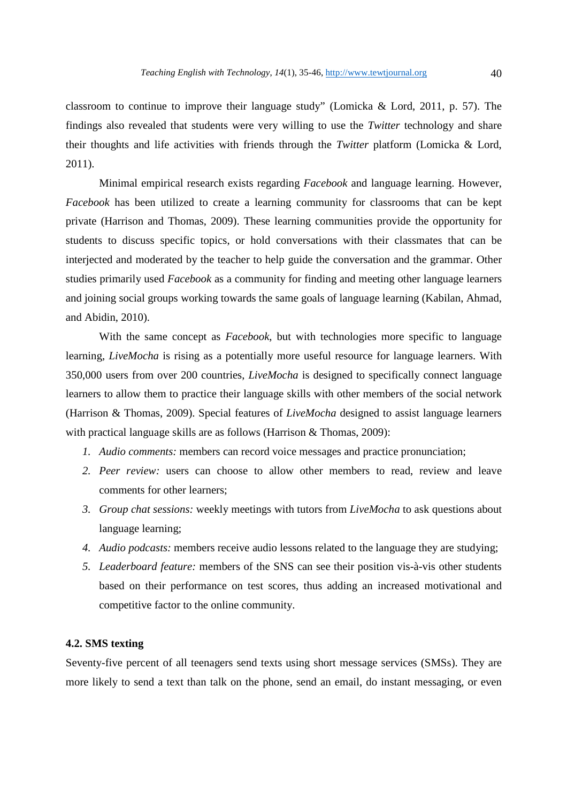classroom to continue to improve their language study" (Lomicka & Lord, 2011, p. 57). The findings also revealed that students were very willing to use the *Twitter* technology and share their thoughts and life activities with friends through the *Twitter* platform (Lomicka & Lord, 2011).

Minimal empirical research exists regarding *Facebook* and language learning. However, *Facebook* has been utilized to create a learning community for classrooms that can be kept private (Harrison and Thomas, 2009). These learning communities provide the opportunity for students to discuss specific topics, or hold conversations with their classmates that can be interjected and moderated by the teacher to help guide the conversation and the grammar. Other studies primarily used *Facebook* as a community for finding and meeting other language learners and joining social groups working towards the same goals of language learning (Kabilan, Ahmad, and Abidin, 2010).

 With the same concept as *Facebook*, but with technologies more specific to language learning, *LiveMocha* is rising as a potentially more useful resource for language learners. With 350,000 users from over 200 countries, *LiveMocha* is designed to specifically connect language learners to allow them to practice their language skills with other members of the social network (Harrison & Thomas, 2009). Special features of *LiveMocha* designed to assist language learners with practical language skills are as follows (Harrison & Thomas, 2009):

- *1. Audio comments:* members can record voice messages and practice pronunciation;
- *2. Peer review:* users can choose to allow other members to read, review and leave comments for other learners;
- *3. Group chat sessions:* weekly meetings with tutors from *LiveMocha* to ask questions about language learning;
- *4. Audio podcasts:* members receive audio lessons related to the language they are studying;
- *5. Leaderboard feature:* members of the SNS can see their position vis-à-vis other students based on their performance on test scores, thus adding an increased motivational and competitive factor to the online community.

# **4.2. SMS texting**

Seventy-five percent of all teenagers send texts using short message services (SMSs). They are more likely to send a text than talk on the phone, send an email, do instant messaging, or even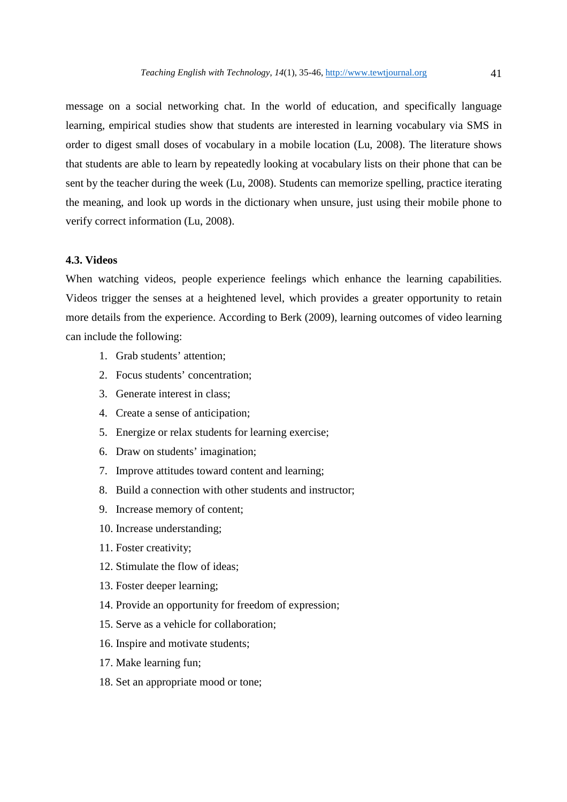message on a social networking chat. In the world of education, and specifically language learning, empirical studies show that students are interested in learning vocabulary via SMS in order to digest small doses of vocabulary in a mobile location (Lu, 2008). The literature shows that students are able to learn by repeatedly looking at vocabulary lists on their phone that can be sent by the teacher during the week (Lu, 2008). Students can memorize spelling, practice iterating the meaning, and look up words in the dictionary when unsure, just using their mobile phone to verify correct information (Lu, 2008).

## **4.3. Videos**

When watching videos, people experience feelings which enhance the learning capabilities. Videos trigger the senses at a heightened level, which provides a greater opportunity to retain more details from the experience. According to Berk (2009), learning outcomes of video learning can include the following:

- 1. Grab students' attention;
- 2. Focus students' concentration;
- 3. Generate interest in class;
- 4. Create a sense of anticipation;
- 5. Energize or relax students for learning exercise;
- 6. Draw on students' imagination;
- 7. Improve attitudes toward content and learning;
- 8. Build a connection with other students and instructor;
- 9. Increase memory of content;
- 10. Increase understanding;
- 11. Foster creativity;
- 12. Stimulate the flow of ideas;
- 13. Foster deeper learning;
- 14. Provide an opportunity for freedom of expression;
- 15. Serve as a vehicle for collaboration;
- 16. Inspire and motivate students;
- 17. Make learning fun;
- 18. Set an appropriate mood or tone;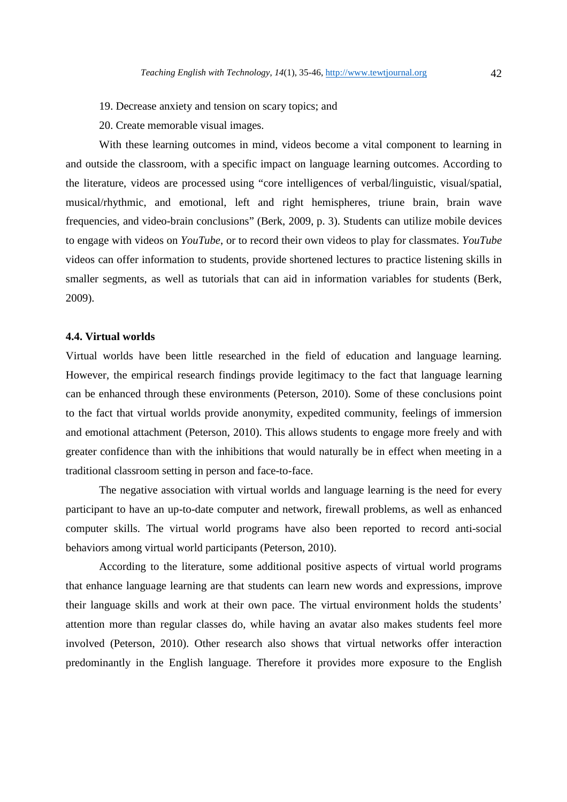- 19. Decrease anxiety and tension on scary topics; and
- 20. Create memorable visual images.

With these learning outcomes in mind, videos become a vital component to learning in and outside the classroom, with a specific impact on language learning outcomes. According to the literature, videos are processed using "core intelligences of verbal/linguistic, visual/spatial, musical/rhythmic, and emotional, left and right hemispheres, triune brain, brain wave frequencies, and video-brain conclusions" (Berk, 2009, p. 3). Students can utilize mobile devices to engage with videos on *YouTube*, or to record their own videos to play for classmates. *YouTube* videos can offer information to students, provide shortened lectures to practice listening skills in smaller segments, as well as tutorials that can aid in information variables for students (Berk, 2009).

#### **4.4. Virtual worlds**

Virtual worlds have been little researched in the field of education and language learning. However, the empirical research findings provide legitimacy to the fact that language learning can be enhanced through these environments (Peterson, 2010). Some of these conclusions point to the fact that virtual worlds provide anonymity, expedited community, feelings of immersion and emotional attachment (Peterson, 2010). This allows students to engage more freely and with greater confidence than with the inhibitions that would naturally be in effect when meeting in a traditional classroom setting in person and face-to-face.

 The negative association with virtual worlds and language learning is the need for every participant to have an up-to-date computer and network, firewall problems, as well as enhanced computer skills. The virtual world programs have also been reported to record anti-social behaviors among virtual world participants (Peterson, 2010).

 According to the literature, some additional positive aspects of virtual world programs that enhance language learning are that students can learn new words and expressions, improve their language skills and work at their own pace. The virtual environment holds the students' attention more than regular classes do, while having an avatar also makes students feel more involved (Peterson, 2010). Other research also shows that virtual networks offer interaction predominantly in the English language. Therefore it provides more exposure to the English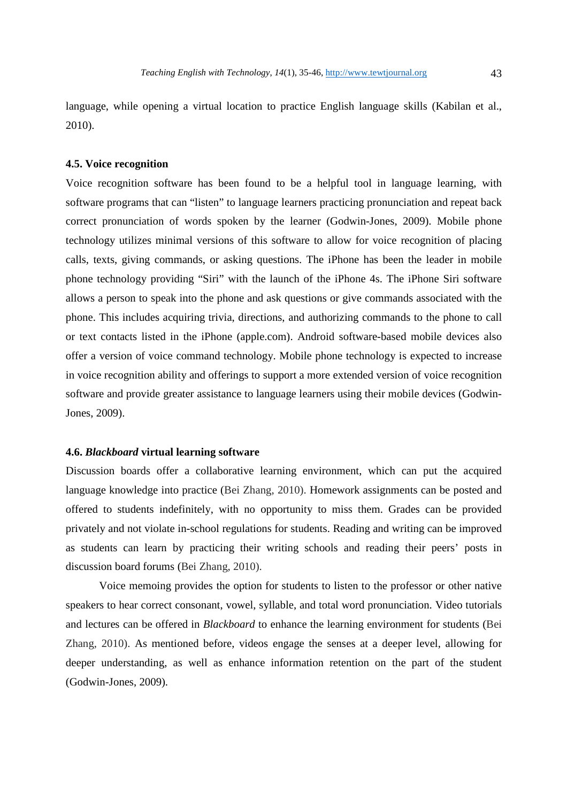language, while opening a virtual location to practice English language skills (Kabilan et al., 2010).

# **4.5. Voice recognition**

Voice recognition software has been found to be a helpful tool in language learning, with software programs that can "listen" to language learners practicing pronunciation and repeat back correct pronunciation of words spoken by the learner (Godwin-Jones, 2009). Mobile phone technology utilizes minimal versions of this software to allow for voice recognition of placing calls, texts, giving commands, or asking questions. The iPhone has been the leader in mobile phone technology providing "Siri" with the launch of the iPhone 4s. The iPhone Siri software allows a person to speak into the phone and ask questions or give commands associated with the phone. This includes acquiring trivia, directions, and authorizing commands to the phone to call or text contacts listed in the iPhone (apple.com). Android software-based mobile devices also offer a version of voice command technology. Mobile phone technology is expected to increase in voice recognition ability and offerings to support a more extended version of voice recognition software and provide greater assistance to language learners using their mobile devices (Godwin-Jones, 2009).

#### **4.6.** *Blackboard* **virtual learning software**

Discussion boards offer a collaborative learning environment, which can put the acquired language knowledge into practice (Bei Zhang, 2010). Homework assignments can be posted and offered to students indefinitely, with no opportunity to miss them. Grades can be provided privately and not violate in-school regulations for students. Reading and writing can be improved as students can learn by practicing their writing schools and reading their peers' posts in discussion board forums (Bei Zhang, 2010).

 Voice memoing provides the option for students to listen to the professor or other native speakers to hear correct consonant, vowel, syllable, and total word pronunciation. Video tutorials and lectures can be offered in *Blackboard* to enhance the learning environment for students (Bei Zhang, 2010). As mentioned before, videos engage the senses at a deeper level, allowing for deeper understanding, as well as enhance information retention on the part of the student (Godwin-Jones, 2009).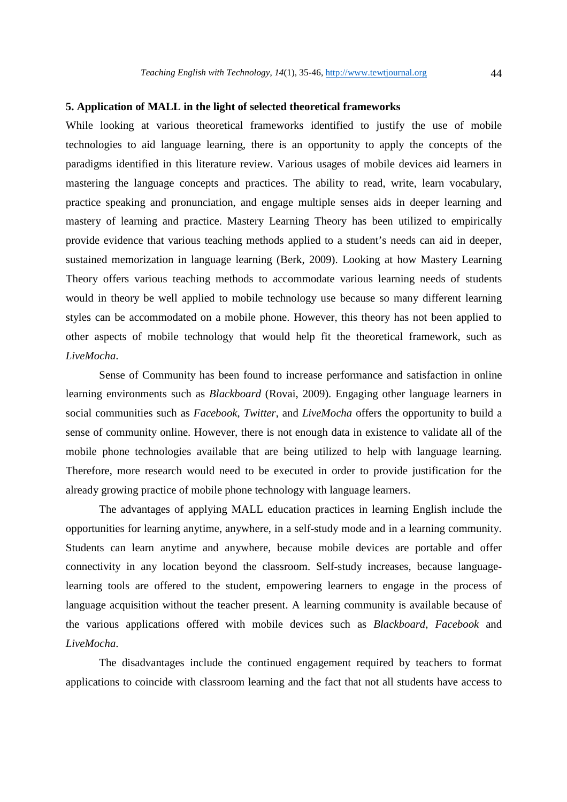# **5. Application of MALL in the light of selected theoretical frameworks**

While looking at various theoretical frameworks identified to justify the use of mobile technologies to aid language learning, there is an opportunity to apply the concepts of the paradigms identified in this literature review. Various usages of mobile devices aid learners in mastering the language concepts and practices. The ability to read, write, learn vocabulary, practice speaking and pronunciation, and engage multiple senses aids in deeper learning and mastery of learning and practice. Mastery Learning Theory has been utilized to empirically provide evidence that various teaching methods applied to a student's needs can aid in deeper, sustained memorization in language learning (Berk, 2009). Looking at how Mastery Learning Theory offers various teaching methods to accommodate various learning needs of students would in theory be well applied to mobile technology use because so many different learning styles can be accommodated on a mobile phone. However, this theory has not been applied to other aspects of mobile technology that would help fit the theoretical framework, such as *LiveMocha*.

 Sense of Community has been found to increase performance and satisfaction in online learning environments such as *Blackboard* (Rovai, 2009). Engaging other language learners in social communities such as *Facebook*, *Twitter*, and *LiveMocha* offers the opportunity to build a sense of community online. However, there is not enough data in existence to validate all of the mobile phone technologies available that are being utilized to help with language learning. Therefore, more research would need to be executed in order to provide justification for the already growing practice of mobile phone technology with language learners.

 The advantages of applying MALL education practices in learning English include the opportunities for learning anytime, anywhere, in a self-study mode and in a learning community. Students can learn anytime and anywhere, because mobile devices are portable and offer connectivity in any location beyond the classroom. Self-study increases, because languagelearning tools are offered to the student, empowering learners to engage in the process of language acquisition without the teacher present. A learning community is available because of the various applications offered with mobile devices such as *Blackboard*, *Facebook* and *LiveMocha*.

 The disadvantages include the continued engagement required by teachers to format applications to coincide with classroom learning and the fact that not all students have access to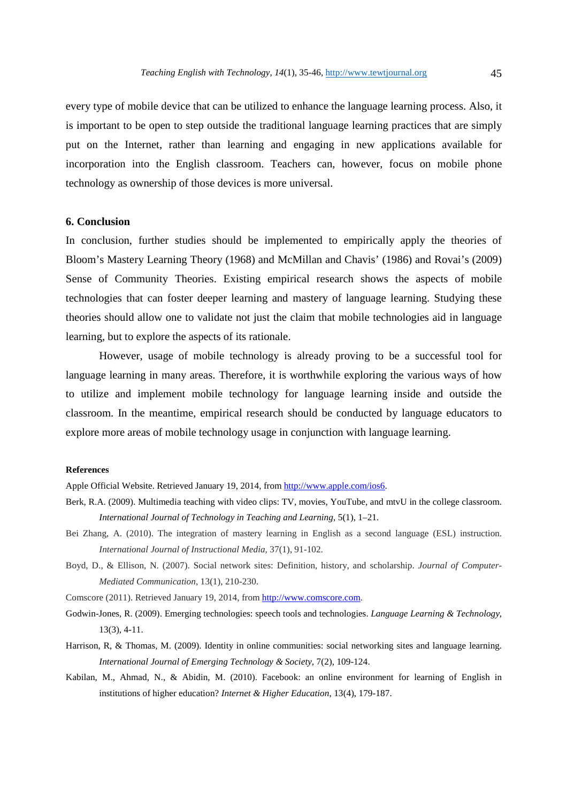every type of mobile device that can be utilized to enhance the language learning process. Also, it is important to be open to step outside the traditional language learning practices that are simply put on the Internet, rather than learning and engaging in new applications available for incorporation into the English classroom. Teachers can, however, focus on mobile phone technology as ownership of those devices is more universal.

#### **6. Conclusion**

In conclusion, further studies should be implemented to empirically apply the theories of Bloom's Mastery Learning Theory (1968) and McMillan and Chavis' (1986) and Rovai's (2009) Sense of Community Theories. Existing empirical research shows the aspects of mobile technologies that can foster deeper learning and mastery of language learning. Studying these theories should allow one to validate not just the claim that mobile technologies aid in language learning, but to explore the aspects of its rationale.

 However, usage of mobile technology is already proving to be a successful tool for language learning in many areas. Therefore, it is worthwhile exploring the various ways of how to utilize and implement mobile technology for language learning inside and outside the classroom. In the meantime, empirical research should be conducted by language educators to explore more areas of mobile technology usage in conjunction with language learning.

#### **References**

Apple Official Website. Retrieved January 19, 2014, from http://www.apple.com/ios6.

- Berk, R.A. (2009). Multimedia teaching with video clips: TV, movies, YouTube, and mtvU in the college classroom. *International Journal of Technology in Teaching and Learning*, 5(1), 1–21.
- Bei Zhang, A. (2010). The integration of mastery learning in English as a second language (ESL) instruction. *International Journal of Instructional Media,* 37(1), 91-102.
- Boyd, D., & Ellison, N. (2007). Social network sites: Definition, history, and scholarship. *Journal of Computer-Mediated Communication*, 13(1), 210-230.

Comscore (2011). Retrieved January 19, 2014, from http://www.comscore.com.

- Godwin-Jones, R. (2009). Emerging technologies: speech tools and technologies. *Language Learning & Technology,*  13(3), 4-11.
- Harrison, R, & Thomas, M. (2009). Identity in online communities: social networking sites and language learning. *International Journal of Emerging Technology & Society*, 7(2), 109-124.
- Kabilan, M., Ahmad, N., & Abidin, M. (2010). Facebook: an online environment for learning of English in institutions of higher education? *Internet & Higher Education*, 13(4), 179-187.